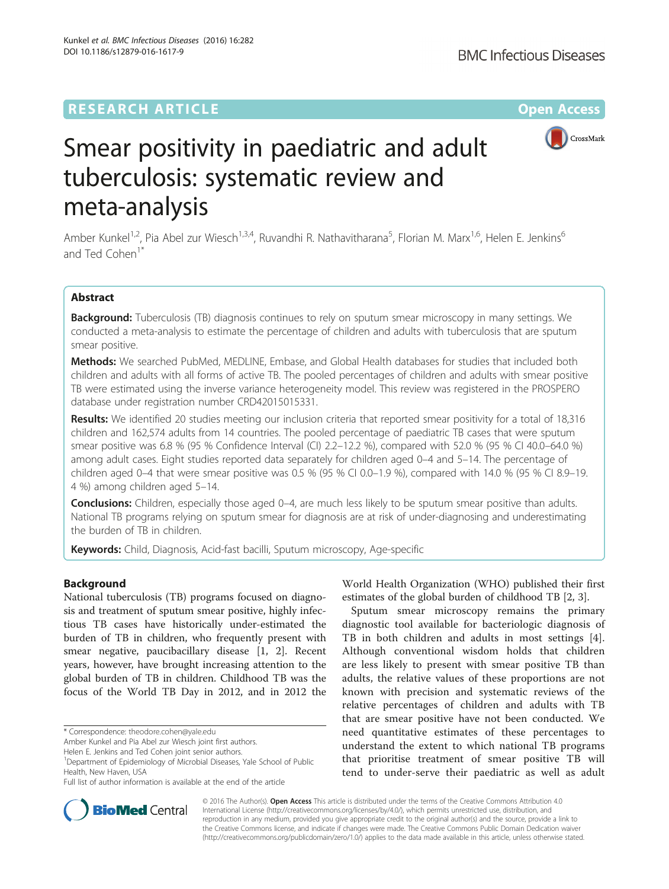DOI 10.1186/s12879-016-1617-9

Kunkel et al. BMC Infectious Diseases (2016) 16:282



# Smear positivity in paediatric and adult tuberculosis: systematic review and meta-analysis

Amber Kunkel<sup>1,2</sup>, Pia Abel zur Wiesch<sup>1,3,4</sup>, Ruvandhi R. Nathavitharana<sup>5</sup>, Florian M. Marx<sup>1,6</sup>, Helen E. Jenkins<sup>6</sup> and Ted Cohen<sup>1\*</sup>

# Abstract

Background: Tuberculosis (TB) diagnosis continues to rely on sputum smear microscopy in many settings. We conducted a meta-analysis to estimate the percentage of children and adults with tuberculosis that are sputum smear positive.

Methods: We searched PubMed, MEDLINE, Embase, and Global Health databases for studies that included both children and adults with all forms of active TB. The pooled percentages of children and adults with smear positive TB were estimated using the inverse variance heterogeneity model. This review was registered in the PROSPERO database under registration number CRD42015015331.

Results: We identified 20 studies meeting our inclusion criteria that reported smear positivity for a total of 18,316 children and 162,574 adults from 14 countries. The pooled percentage of paediatric TB cases that were sputum smear positive was 6.8 % (95 % Confidence Interval (CI) 2.2–12.2 %), compared with 52.0 % (95 % CI 40.0–64.0 %) among adult cases. Eight studies reported data separately for children aged 0–4 and 5–14. The percentage of children aged 0–4 that were smear positive was 0.5 % (95 % CI 0.0–1.9 %), compared with 14.0 % (95 % CI 8.9–19. 4 %) among children aged 5–14.

**Conclusions:** Children, especially those aged 0–4, are much less likely to be sputum smear positive than adults. National TB programs relying on sputum smear for diagnosis are at risk of under-diagnosing and underestimating the burden of TB in children.

Keywords: Child, Diagnosis, Acid-fast bacilli, Sputum microscopy, Age-specific

# Background

National tuberculosis (TB) programs focused on diagnosis and treatment of sputum smear positive, highly infectious TB cases have historically under-estimated the burden of TB in children, who frequently present with smear negative, paucibacillary disease [[1, 2\]](#page-8-0). Recent years, however, have brought increasing attention to the global burden of TB in children. Childhood TB was the focus of the World TB Day in 2012, and in 2012 the

\* Correspondence: [theodore.cohen@yale.edu](mailto:theodore.cohen@yale.edu)

Amber Kunkel and Pia Abel zur Wiesch joint first authors.

Helen E. Jenkins and Ted Cohen joint senior authors.

<sup>1</sup>Department of Epidemiology of Microbial Diseases, Yale School of Public Health, New Haven, USA

World Health Organization (WHO) published their first estimates of the global burden of childhood TB [[2, 3\]](#page-8-0).

Sputum smear microscopy remains the primary diagnostic tool available for bacteriologic diagnosis of TB in both children and adults in most settings [\[4](#page-8-0)]. Although conventional wisdom holds that children are less likely to present with smear positive TB than adults, the relative values of these proportions are not known with precision and systematic reviews of the relative percentages of children and adults with TB that are smear positive have not been conducted. We need quantitative estimates of these percentages to understand the extent to which national TB programs that prioritise treatment of smear positive TB will tend to under-serve their paediatric as well as adult



© 2016 The Author(s). Open Access This article is distributed under the terms of the Creative Commons Attribution 4.0 International License [\(http://creativecommons.org/licenses/by/4.0/](http://creativecommons.org/licenses/by/4.0/)), which permits unrestricted use, distribution, and reproduction in any medium, provided you give appropriate credit to the original author(s) and the source, provide a link to the Creative Commons license, and indicate if changes were made. The Creative Commons Public Domain Dedication waiver [\(http://creativecommons.org/publicdomain/zero/1.0/](http://creativecommons.org/publicdomain/zero/1.0/)) applies to the data made available in this article, unless otherwise stated.

Full list of author information is available at the end of the article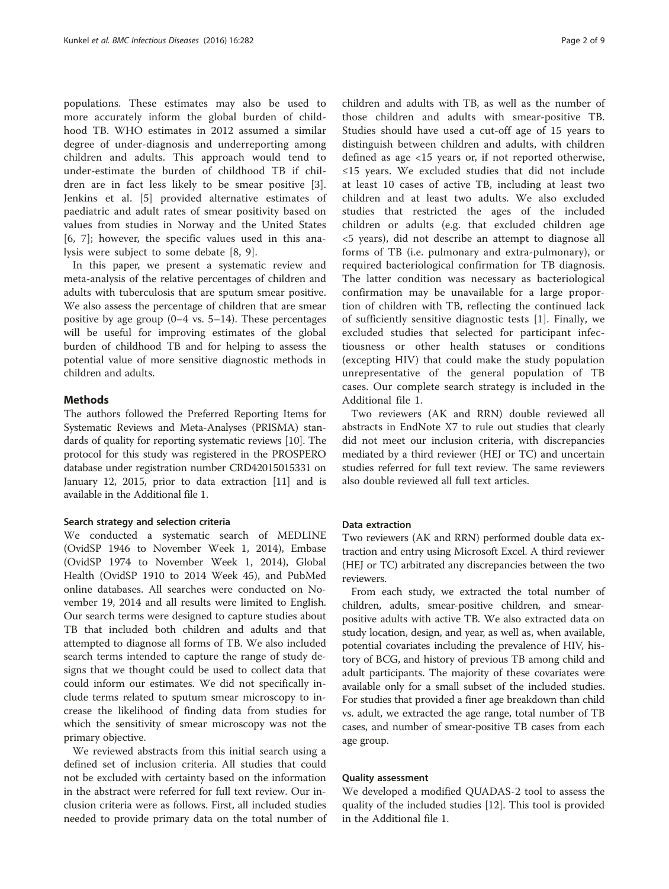populations. These estimates may also be used to more accurately inform the global burden of childhood TB. WHO estimates in 2012 assumed a similar degree of under-diagnosis and underreporting among children and adults. This approach would tend to under-estimate the burden of childhood TB if children are in fact less likely to be smear positive [[3](#page-8-0)]. Jenkins et al. [[5\]](#page-8-0) provided alternative estimates of paediatric and adult rates of smear positivity based on values from studies in Norway and the United States [[6, 7](#page-8-0)]; however, the specific values used in this analysis were subject to some debate [[8, 9\]](#page-8-0).

In this paper, we present a systematic review and meta-analysis of the relative percentages of children and adults with tuberculosis that are sputum smear positive. We also assess the percentage of children that are smear positive by age group  $(0-4 \text{ vs. } 5-14)$ . These percentages will be useful for improving estimates of the global burden of childhood TB and for helping to assess the potential value of more sensitive diagnostic methods in children and adults.

# Methods

The authors followed the Preferred Reporting Items for Systematic Reviews and Meta-Analyses (PRISMA) standards of quality for reporting systematic reviews [[10](#page-8-0)]. The protocol for this study was registered in the PROSPERO database under registration number CRD42015015331 on January 12, 2015, prior to data extraction [[11\]](#page-8-0) and is available in the Additional file [1](#page-7-0).

# Search strategy and selection criteria

We conducted a systematic search of MEDLINE (OvidSP 1946 to November Week 1, 2014), Embase (OvidSP 1974 to November Week 1, 2014), Global Health (OvidSP 1910 to 2014 Week 45), and PubMed online databases. All searches were conducted on November 19, 2014 and all results were limited to English. Our search terms were designed to capture studies about TB that included both children and adults and that attempted to diagnose all forms of TB. We also included search terms intended to capture the range of study designs that we thought could be used to collect data that could inform our estimates. We did not specifically include terms related to sputum smear microscopy to increase the likelihood of finding data from studies for which the sensitivity of smear microscopy was not the primary objective.

We reviewed abstracts from this initial search using a defined set of inclusion criteria. All studies that could not be excluded with certainty based on the information in the abstract were referred for full text review. Our inclusion criteria were as follows. First, all included studies needed to provide primary data on the total number of

those children and adults with smear-positive TB. Studies should have used a cut-off age of 15 years to distinguish between children and adults, with children defined as age <15 years or, if not reported otherwise, ≤15 years. We excluded studies that did not include at least 10 cases of active TB, including at least two children and at least two adults. We also excluded studies that restricted the ages of the included children or adults (e.g. that excluded children age <5 years), did not describe an attempt to diagnose all forms of TB (i.e. pulmonary and extra-pulmonary), or required bacteriological confirmation for TB diagnosis. The latter condition was necessary as bacteriological confirmation may be unavailable for a large proportion of children with TB, reflecting the continued lack of sufficiently sensitive diagnostic tests [[1\]](#page-8-0). Finally, we excluded studies that selected for participant infectiousness or other health statuses or conditions (excepting HIV) that could make the study population unrepresentative of the general population of TB cases. Our complete search strategy is included in the Additional file [1](#page-7-0).

Two reviewers (AK and RRN) double reviewed all abstracts in EndNote X7 to rule out studies that clearly did not meet our inclusion criteria, with discrepancies mediated by a third reviewer (HEJ or TC) and uncertain studies referred for full text review. The same reviewers also double reviewed all full text articles.

#### Data extraction

Two reviewers (AK and RRN) performed double data extraction and entry using Microsoft Excel. A third reviewer (HEJ or TC) arbitrated any discrepancies between the two reviewers.

From each study, we extracted the total number of children, adults, smear-positive children, and smearpositive adults with active TB. We also extracted data on study location, design, and year, as well as, when available, potential covariates including the prevalence of HIV, history of BCG, and history of previous TB among child and adult participants. The majority of these covariates were available only for a small subset of the included studies. For studies that provided a finer age breakdown than child vs. adult, we extracted the age range, total number of TB cases, and number of smear-positive TB cases from each age group.

# Quality assessment

We developed a modified QUADAS-2 tool to assess the quality of the included studies [[12\]](#page-8-0). This tool is provided in the Additional file [1.](#page-7-0)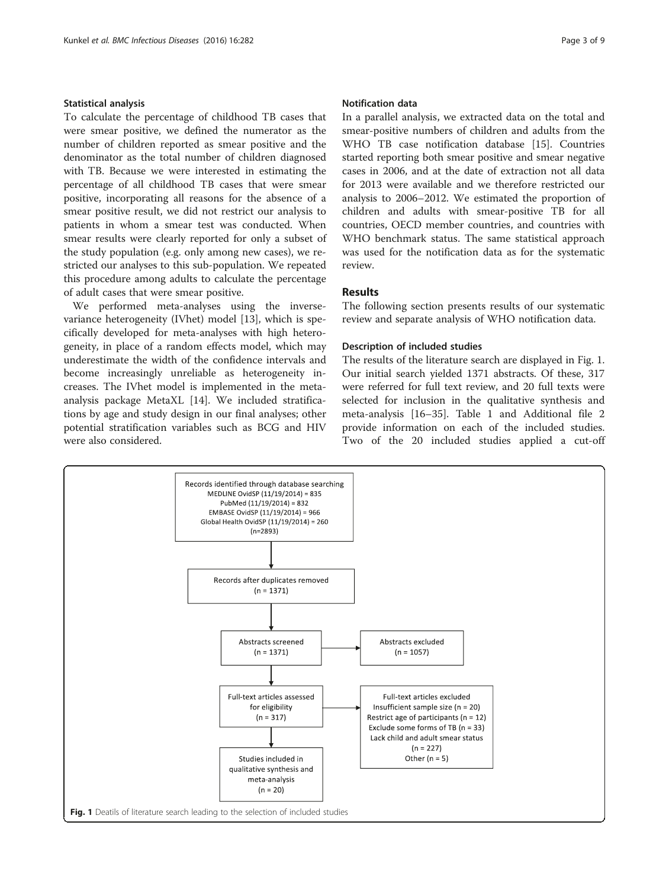# Statistical analysis

To calculate the percentage of childhood TB cases that were smear positive, we defined the numerator as the number of children reported as smear positive and the denominator as the total number of children diagnosed with TB. Because we were interested in estimating the percentage of all childhood TB cases that were smear positive, incorporating all reasons for the absence of a smear positive result, we did not restrict our analysis to patients in whom a smear test was conducted. When smear results were clearly reported for only a subset of the study population (e.g. only among new cases), we restricted our analyses to this sub-population. We repeated this procedure among adults to calculate the percentage of adult cases that were smear positive.

We performed meta-analyses using the inversevariance heterogeneity (IVhet) model [\[13](#page-8-0)], which is specifically developed for meta-analyses with high heterogeneity, in place of a random effects model, which may underestimate the width of the confidence intervals and become increasingly unreliable as heterogeneity increases. The IVhet model is implemented in the metaanalysis package MetaXL [\[14\]](#page-8-0). We included stratifications by age and study design in our final analyses; other potential stratification variables such as BCG and HIV were also considered.

### Notification data

In a parallel analysis, we extracted data on the total and smear-positive numbers of children and adults from the WHO TB case notification database [[15\]](#page-8-0). Countries started reporting both smear positive and smear negative cases in 2006, and at the date of extraction not all data for 2013 were available and we therefore restricted our analysis to 2006–2012. We estimated the proportion of children and adults with smear-positive TB for all countries, OECD member countries, and countries with WHO benchmark status. The same statistical approach was used for the notification data as for the systematic review.

# Results

The following section presents results of our systematic review and separate analysis of WHO notification data.

#### Description of included studies

The results of the literature search are displayed in Fig. 1. Our initial search yielded 1371 abstracts. Of these, 317 were referred for full text review, and 20 full texts were selected for inclusion in the qualitative synthesis and meta-analysis [[16](#page-8-0)–[35\]](#page-8-0). Table [1](#page-3-0) and Additional file [2](#page-7-0) provide information on each of the included studies. Two of the 20 included studies applied a cut-off

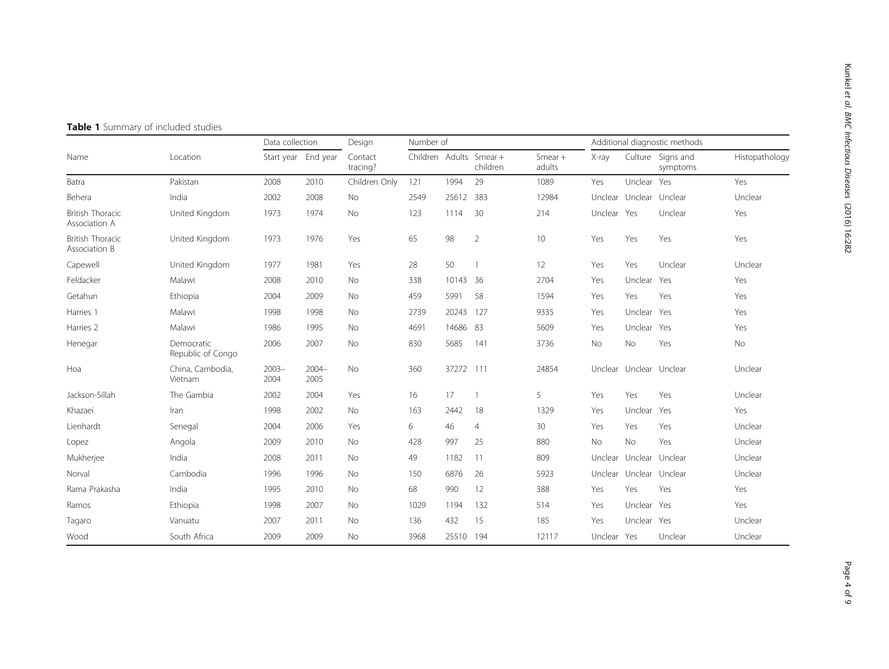|                                          |                                 | Data collection  |                  | Design              | Number of |           |                                    |                      | Additional diagnostic methods |                         |                               |                |
|------------------------------------------|---------------------------------|------------------|------------------|---------------------|-----------|-----------|------------------------------------|----------------------|-------------------------------|-------------------------|-------------------------------|----------------|
| Name                                     | Location                        | Start year       | End year         | Contact<br>tracing? |           |           | Children Adults Smear+<br>children | $S$ mear +<br>adults | X-ray                         |                         | Culture Signs and<br>symptoms | Histopathology |
| Batra                                    | Pakistan                        | 2008             | 2010             | Children Only       | 121       | 1994      | 29                                 | 1089                 | Yes                           | Unclear Yes             |                               | Yes            |
| Behera                                   | India                           | 2002             | 2008             | No                  | 2549      | 25612     | 383                                | 12984                |                               | Unclear Unclear Unclear |                               | Unclear        |
| <b>British Thoracic</b><br>Association A | United Kingdom                  | 1973             | 1974             | No                  | 123       | 1114      | 30                                 | 214                  | Unclear Yes                   |                         | Unclear                       | Yes            |
| <b>British Thoracic</b><br>Association B | United Kingdom                  | 1973             | 1976             | Yes                 | 65        | 98        | $\overline{2}$                     | 10                   | Yes                           | Yes                     | Yes                           | Yes            |
| Capewell                                 | United Kingdom                  | 1977             | 1981             | Yes                 | 28        | 50        | 1                                  | 12                   | Yes                           | Yes                     | Unclear                       | Unclear        |
| Feldacker                                | Malawi                          | 2008             | 2010             | No                  | 338       | 10143     | 36                                 | 2704                 | Yes                           | Unclear Yes             |                               | Yes            |
| Getahun                                  | Ethiopia                        | 2004             | 2009             | No                  | 459       | 5991      | 58                                 | 1594                 | Yes                           | Yes                     | Yes                           | Yes            |
| Harries 1                                | Malawi                          | 1998             | 1998             | No                  | 2739      | 20243     | 127                                | 9335                 | Yes                           | Unclear Yes             |                               | Yes            |
| Harries 2                                | Malawi                          | 1986             | 1995             | No                  | 4691      | 14686     | 83                                 | 5609                 | Yes                           | Unclear Yes             |                               | Yes            |
| Henegar                                  | Democratic<br>Republic of Congo | 2006             | 2007             | No                  | 830       | 5685      | 141                                | 3736                 | <b>No</b>                     | <b>No</b>               | Yes                           | No             |
| Hoa                                      | China, Cambodia,<br>Vietnam     | $2003 -$<br>2004 | $2004 -$<br>2005 | No                  | 360       | 37272 111 |                                    | 24854                |                               | Unclear Unclear Unclear |                               | Unclear        |
| Jackson-Sillah                           | The Gambia                      | 2002             | 2004             | Yes                 | 16        | 17        | $\mathbf{1}$                       | 5                    | Yes                           | Yes                     | Yes                           | Unclear        |
| Khazaei                                  | Iran                            | 1998             | 2002             | No                  | 163       | 2442      | 18                                 | 1329                 | Yes                           | Unclear                 | Yes                           | Yes            |
| Lienhardt                                | Senegal                         | 2004             | 2006             | Yes                 | 6         | 46        | $\overline{4}$                     | 30                   | Yes                           | Yes                     | Yes                           | Unclear        |
| Lopez                                    | Angola                          | 2009             | 2010             | No                  | 428       | 997       | 25                                 | 880                  | No                            | No                      | Yes                           | Unclear        |
| Mukherjee                                | India                           | 2008             | 2011             | No                  | 49        | 1182      | 11                                 | 809                  | Unclear                       | Unclear Unclear         |                               | Unclear        |
| Norval                                   | Cambodia                        | 1996             | 1996             | No                  | 150       | 6876      | 26                                 | 5923                 |                               | Unclear Unclear Unclear |                               | Unclear        |
| Rama Prakasha                            | India                           | 1995             | 2010             | No                  | 68        | 990       | 12                                 | 388                  | Yes                           | Yes                     | Yes                           | Yes            |
| Ramos                                    | Ethiopia                        | 1998             | 2007             | No                  | 1029      | 1194      | 132                                | 514                  | Yes                           | Unclear Yes             |                               | Yes            |
| Tagaro                                   | Vanuatu                         | 2007             | 2011             | No                  | 136       | 432       | 15                                 | 185                  | Yes                           | Unclear Yes             |                               | Unclear        |
| Wood                                     | South Africa                    | 2009             | 2009             | No                  | 3968      | 25510     | 194                                | 12117                | Unclear Yes                   |                         | Unclear                       | Unclear        |

# <span id="page-3-0"></span>Table 1 Summary of included studies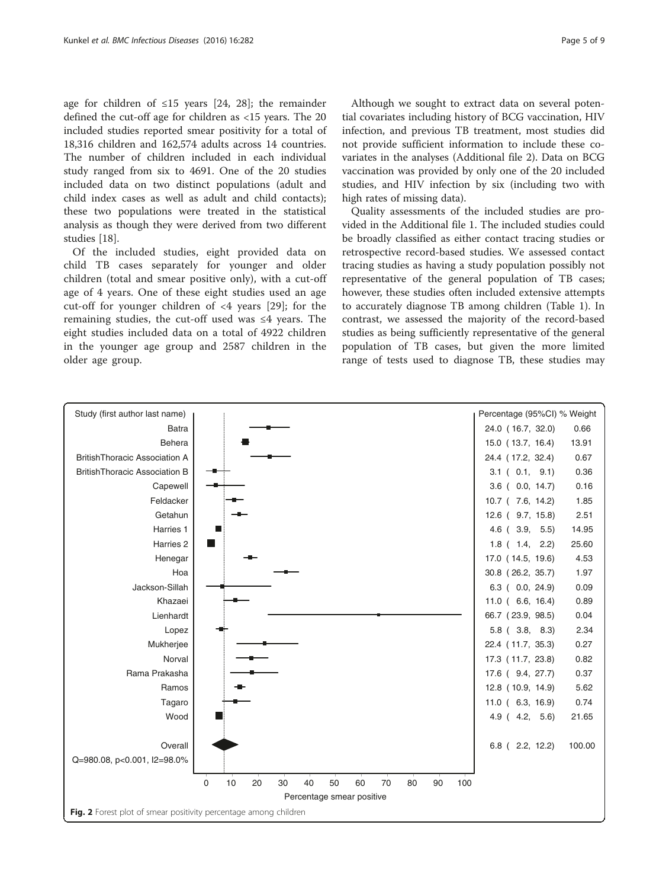<span id="page-4-0"></span>age for children of ≤15 years [\[24](#page-8-0), [28](#page-8-0)]; the remainder defined the cut-off age for children as <15 years. The 20 included studies reported smear positivity for a total of 18,316 children and 162,574 adults across 14 countries. The number of children included in each individual study ranged from six to 4691. One of the 20 studies included data on two distinct populations (adult and child index cases as well as adult and child contacts); these two populations were treated in the statistical analysis as though they were derived from two different studies [\[18\]](#page-8-0).

Of the included studies, eight provided data on child TB cases separately for younger and older children (total and smear positive only), with a cut-off age of 4 years. One of these eight studies used an age cut-off for younger children of <4 years [[29\]](#page-8-0); for the remaining studies, the cut-off used was ≤4 years. The eight studies included data on a total of 4922 children in the younger age group and 2587 children in the older age group.

Although we sought to extract data on several potential covariates including history of BCG vaccination, HIV infection, and previous TB treatment, most studies did not provide sufficient information to include these covariates in the analyses (Additional file [2](#page-7-0)). Data on BCG vaccination was provided by only one of the 20 included studies, and HIV infection by six (including two with high rates of missing data).

Quality assessments of the included studies are provided in the Additional file [1.](#page-7-0) The included studies could be broadly classified as either contact tracing studies or retrospective record-based studies. We assessed contact tracing studies as having a study population possibly not representative of the general population of TB cases; however, these studies often included extensive attempts to accurately diagnose TB among children (Table [1\)](#page-3-0). In contrast, we assessed the majority of the record-based studies as being sufficiently representative of the general population of TB cases, but given the more limited range of tests used to diagnose TB, these studies may

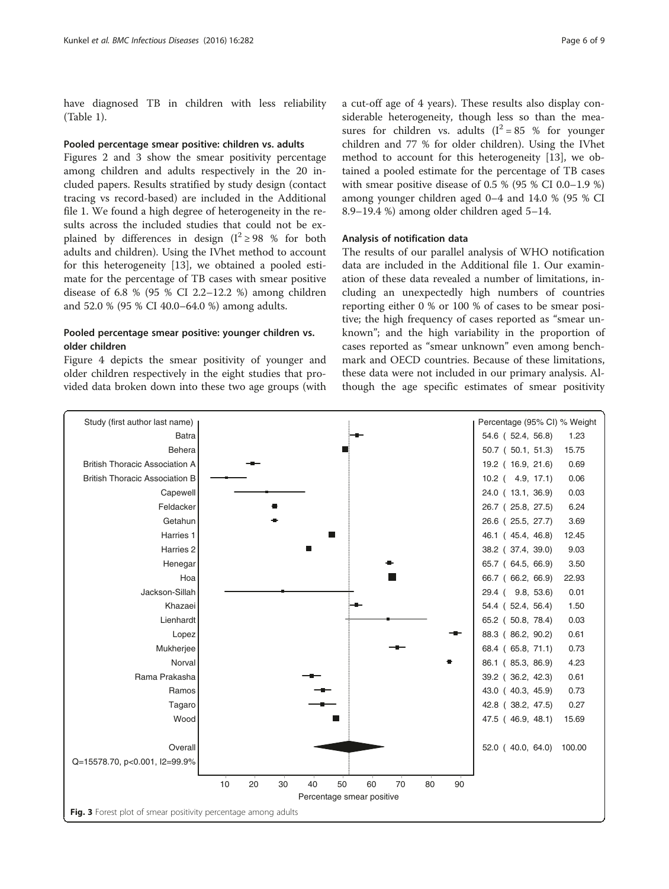have diagnosed TB in children with less reliability (Table [1\)](#page-3-0).

# Pooled percentage smear positive: children vs. adults

Figures [2](#page-4-0) and 3 show the smear positivity percentage among children and adults respectively in the 20 included papers. Results stratified by study design (contact tracing vs record-based) are included in the Additional file [1.](#page-7-0) We found a high degree of heterogeneity in the results across the included studies that could not be explained by differences in design  $(I^2 \ge 98\%$  for both adults and children). Using the IVhet method to account for this heterogeneity [[13](#page-8-0)], we obtained a pooled estimate for the percentage of TB cases with smear positive disease of 6.8 % (95 % CI 2.2–12.2 %) among children and 52.0 % (95 % CI 40.0–64.0 %) among adults.

# Pooled percentage smear positive: younger children vs. older children

Figure [4](#page-6-0) depicts the smear positivity of younger and older children respectively in the eight studies that provided data broken down into these two age groups (with a cut-off age of 4 years). These results also display considerable heterogeneity, though less so than the measures for children vs. adults  $(I^2 = 85 %$  for younger children and 77 % for older children). Using the IVhet method to account for this heterogeneity [\[13\]](#page-8-0), we obtained a pooled estimate for the percentage of TB cases with smear positive disease of 0.5 % (95 % CI 0.0–1.9 %) among younger children aged 0–4 and 14.0 % (95 % CI 8.9–19.4 %) among older children aged 5–14.

#### Analysis of notification data

The results of our parallel analysis of WHO notification data are included in the Additional file [1](#page-7-0). Our examination of these data revealed a number of limitations, including an unexpectedly high numbers of countries reporting either 0 % or 100 % of cases to be smear positive; the high frequency of cases reported as "smear unknown"; and the high variability in the proportion of cases reported as "smear unknown" even among benchmark and OECD countries. Because of these limitations, these data were not included in our primary analysis. Although the age specific estimates of smear positivity

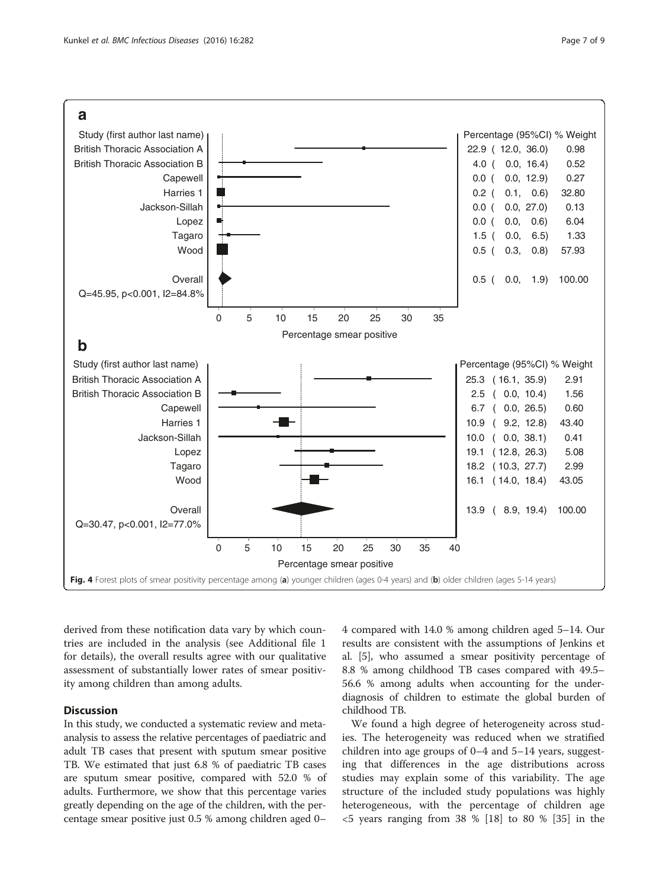<span id="page-6-0"></span>

derived from these notification data vary by which countries are included in the analysis (see Additional file [1](#page-7-0) for details), the overall results agree with our qualitative assessment of substantially lower rates of smear positivity among children than among adults.

# **Discussion**

In this study, we conducted a systematic review and metaanalysis to assess the relative percentages of paediatric and adult TB cases that present with sputum smear positive TB. We estimated that just 6.8 % of paediatric TB cases are sputum smear positive, compared with 52.0 % of adults. Furthermore, we show that this percentage varies greatly depending on the age of the children, with the percentage smear positive just 0.5 % among children aged 0– 4 compared with 14.0 % among children aged 5–14. Our results are consistent with the assumptions of Jenkins et al. [\[5](#page-8-0)], who assumed a smear positivity percentage of 8.8 % among childhood TB cases compared with 49.5– 56.6 % among adults when accounting for the underdiagnosis of children to estimate the global burden of childhood TB.

We found a high degree of heterogeneity across studies. The heterogeneity was reduced when we stratified children into age groups of 0–4 and 5–14 years, suggesting that differences in the age distributions across studies may explain some of this variability. The age structure of the included study populations was highly heterogeneous, with the percentage of children age  $\le$  5 years ranging from 38 % [[18\]](#page-8-0) to 80 % [\[35\]](#page-8-0) in the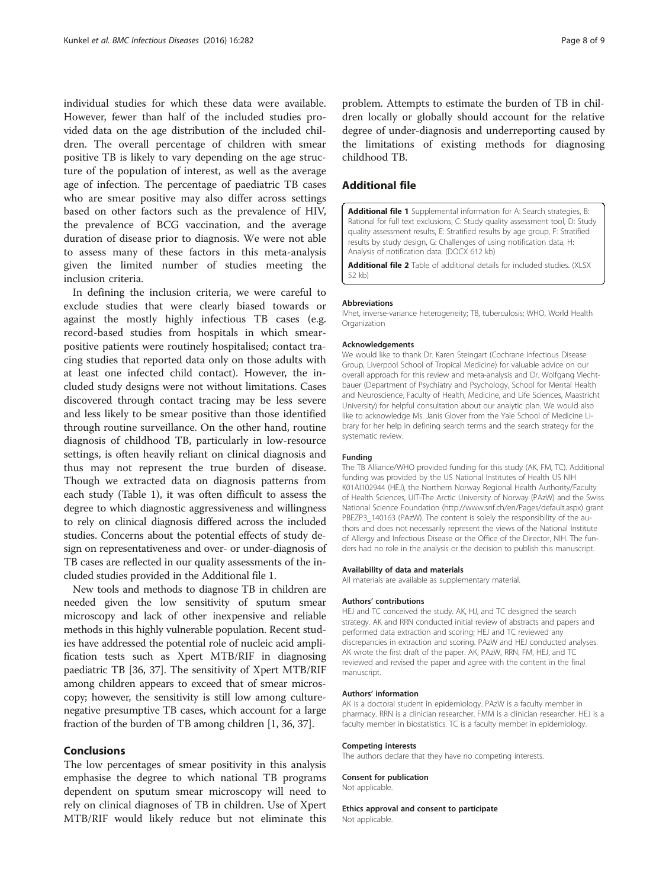<span id="page-7-0"></span>individual studies for which these data were available. However, fewer than half of the included studies provided data on the age distribution of the included children. The overall percentage of children with smear positive TB is likely to vary depending on the age structure of the population of interest, as well as the average age of infection. The percentage of paediatric TB cases who are smear positive may also differ across settings based on other factors such as the prevalence of HIV, the prevalence of BCG vaccination, and the average duration of disease prior to diagnosis. We were not able to assess many of these factors in this meta-analysis given the limited number of studies meeting the inclusion criteria.

In defining the inclusion criteria, we were careful to exclude studies that were clearly biased towards or against the mostly highly infectious TB cases (e.g. record-based studies from hospitals in which smearpositive patients were routinely hospitalised; contact tracing studies that reported data only on those adults with at least one infected child contact). However, the included study designs were not without limitations. Cases discovered through contact tracing may be less severe and less likely to be smear positive than those identified through routine surveillance. On the other hand, routine diagnosis of childhood TB, particularly in low-resource settings, is often heavily reliant on clinical diagnosis and thus may not represent the true burden of disease. Though we extracted data on diagnosis patterns from each study (Table [1](#page-3-0)), it was often difficult to assess the degree to which diagnostic aggressiveness and willingness to rely on clinical diagnosis differed across the included studies. Concerns about the potential effects of study design on representativeness and over- or under-diagnosis of TB cases are reflected in our quality assessments of the included studies provided in the Additional file 1.

New tools and methods to diagnose TB in children are needed given the low sensitivity of sputum smear microscopy and lack of other inexpensive and reliable methods in this highly vulnerable population. Recent studies have addressed the potential role of nucleic acid amplification tests such as Xpert MTB/RIF in diagnosing paediatric TB [[36, 37\]](#page-8-0). The sensitivity of Xpert MTB/RIF among children appears to exceed that of smear microscopy; however, the sensitivity is still low among culturenegative presumptive TB cases, which account for a large fraction of the burden of TB among children [\[1, 36](#page-8-0), [37\]](#page-8-0).

#### Conclusions

The low percentages of smear positivity in this analysis emphasise the degree to which national TB programs dependent on sputum smear microscopy will need to rely on clinical diagnoses of TB in children. Use of Xpert MTB/RIF would likely reduce but not eliminate this

problem. Attempts to estimate the burden of TB in children locally or globally should account for the relative degree of under-diagnosis and underreporting caused by the limitations of existing methods for diagnosing childhood TB.

# Additional file

[Additional file 1](dx.doi.org/10.1186/s12879-016-1617-9) Supplemental information for A: Search strategies, B: Rational for full text exclusions, C: Study quality assessment tool, D: Study quality assessment results, E: Stratified results by age group, F: Stratified results by study design, G: Challenges of using notification data, H: Analysis of notification data. (DOCX 612 kb)

[Additional file 2](dx.doi.org/10.1186/s12879-016-1617-9) Table of additional details for included studies. (XLSX 52 kb)

#### Abbreviations

IVhet, inverse-variance heterogeneity; TB, tuberculosis; WHO, World Health **Organization** 

#### Acknowledgements

We would like to thank Dr. Karen Steingart (Cochrane Infectious Disease Group, Liverpool School of Tropical Medicine) for valuable advice on our overall approach for this review and meta-analysis and Dr. Wolfgang Viechtbauer (Department of Psychiatry and Psychology, School for Mental Health and Neuroscience, Faculty of Health, Medicine, and Life Sciences, Maastricht University) for helpful consultation about our analytic plan. We would also like to acknowledge Ms. Janis Glover from the Yale School of Medicine Library for her help in defining search terms and the search strategy for the systematic review.

#### Funding

The TB Alliance/WHO provided funding for this study (AK, FM, TC). Additional funding was provided by the US National Institutes of Health US NIH K01AI102944 (HEJ), the Northern Norway Regional Health Authority/Faculty of Health Sciences, UIT-The Arctic University of Norway (PAzW) and the Swiss National Science Foundation (<http://www.snf.ch/en/Pages/default.aspx>) grant PBEZP3\_140163 (PAzW). The content is solely the responsibility of the authors and does not necessarily represent the views of the National Institute of Allergy and Infectious Disease or the Office of the Director, NIH. The funders had no role in the analysis or the decision to publish this manuscript.

#### Availability of data and materials

All materials are available as supplementary material.

#### Authors' contributions

HEJ and TC conceived the study. AK, HJ, and TC designed the search strategy. AK and RRN conducted initial review of abstracts and papers and performed data extraction and scoring; HEJ and TC reviewed any discrepancies in extraction and scoring. PAzW and HEJ conducted analyses. AK wrote the first draft of the paper. AK, PAzW, RRN, FM, HEJ, and TC reviewed and revised the paper and agree with the content in the final manuscript.

#### Authors' information

AK is a doctoral student in epidemiology. PAzW is a faculty member in pharmacy. RRN is a clinician researcher. FMM is a clinician researcher. HEJ is a faculty member in biostatistics. TC is a faculty member in epidemiology.

#### Competing interests

The authors declare that they have no competing interests.

#### Consent for publication

Not applicable.

Ethics approval and consent to participate Not applicable.